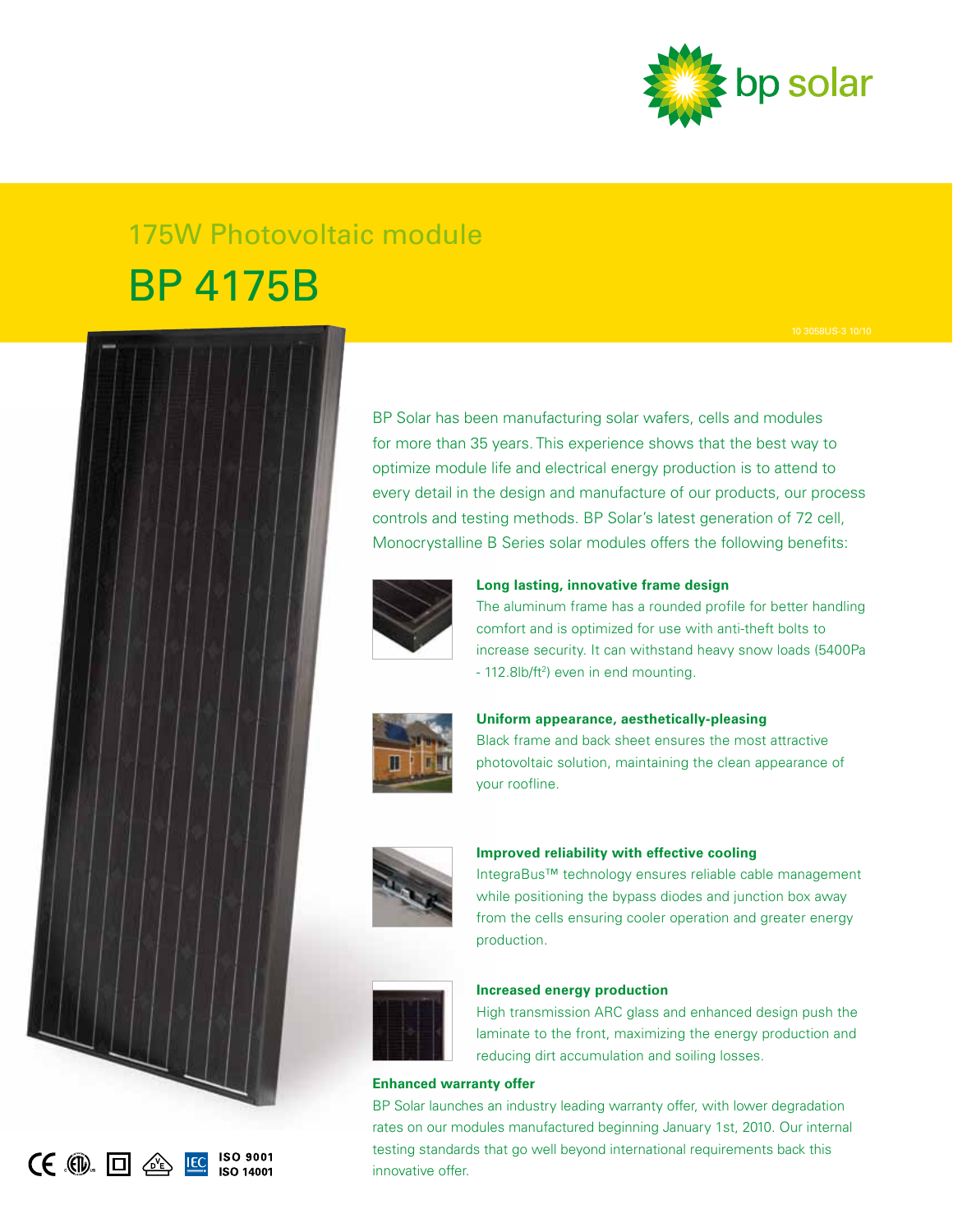

# 175W Photovoltaic module BP 4175B



 $CE$   $\Box$   $\triangle$   $E$ 

**ISO 9001 ISO 14001** 

optimize module life and electrical energy production is to attend to every detail in the design and manufacture of our products, our process controls and testing methods. BP Solar's latest generation of 72 cell, Monocrystalline B Series solar modules offers the following benefits:



**Long lasting, innovative frame design**

BP Solar has been manufacturing solar wafers, cells and modules for more than 35 years. This experience shows that the best way to

> The aluminum frame has a rounded profile for better handling comfort and is optimized for use with anti-theft bolts to increase security. It can withstand heavy snow loads (5400Pa - 112.8lb/ft<sup>2</sup>) even in end mounting.



**Uniform appearance, aesthetically-pleasing** Black frame and back sheet ensures the most attractive

photovoltaic solution, maintaining the clean appearance of your roofline.



# **Improved reliability with effective cooling**

IntegraBus™ technology ensures reliable cable management while positioning the bypass diodes and junction box away from the cells ensuring cooler operation and greater energy production.



# **Increased energy production**

High transmission ARC glass and enhanced design push the laminate to the front, maximizing the energy production and reducing dirt accumulation and soiling losses.

# **Enhanced warranty offer**

BP Solar launches an industry leading warranty offer, with lower degradation rates on our modules manufactured beginning January 1st, 2010. Our internal testing standards that go well beyond international requirements back this innovative offer.